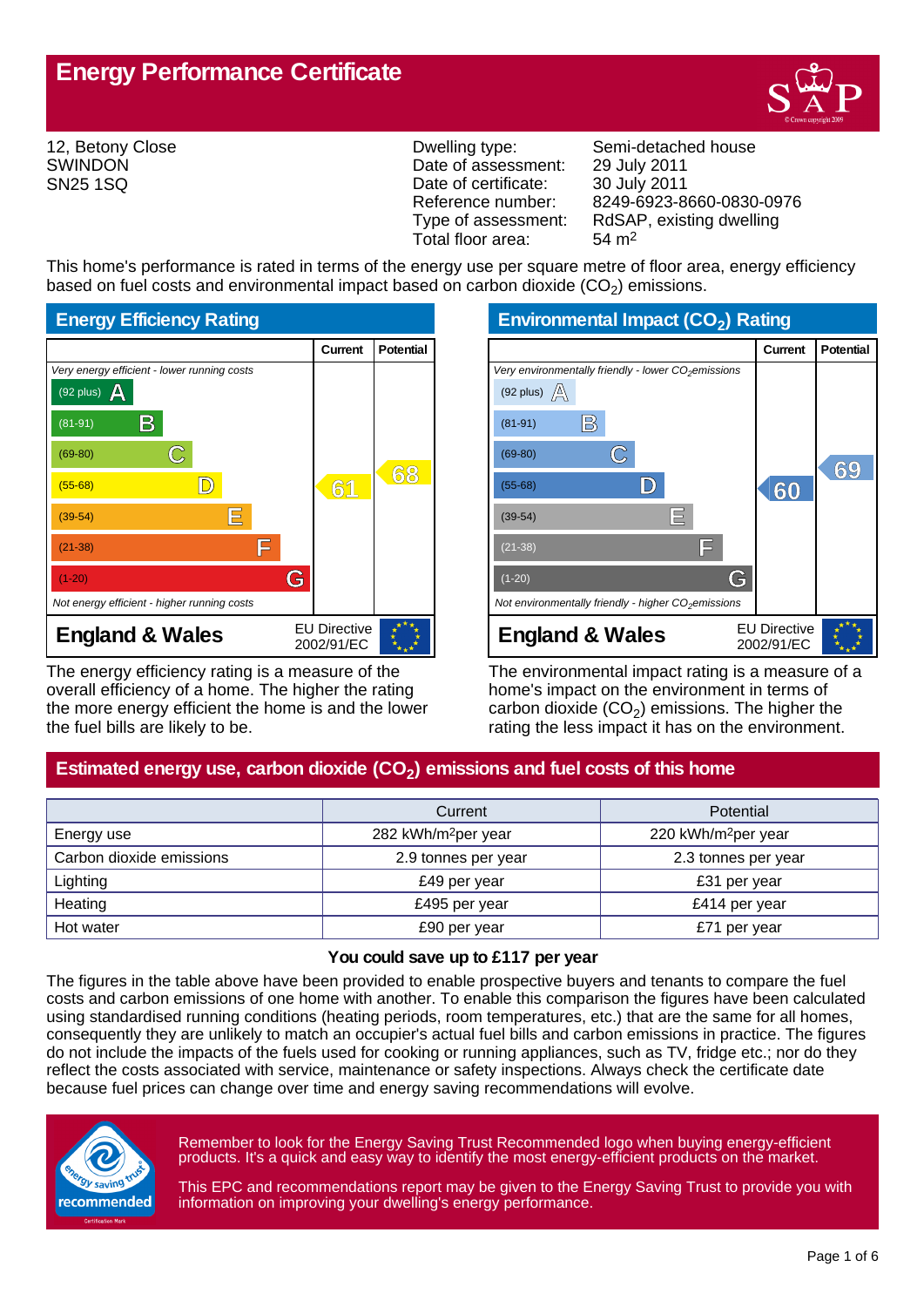

12, Betony Close SWINDON SN25 1SQ

Date of assessment: 29 July 2011 Date of certificate: 30 July 2011<br>Reference number: 8249-6923-8 Total floor area: 54 m2

Dwelling type: Semi-detached house Reference number: 8249-6923-8660-0830-0976<br>Type of assessment: RdSAP, existing dwelling RdSAP, existing dwelling

This home's performance is rated in terms of the energy use per square metre of floor area, energy efficiency based on fuel costs and environmental impact based on carbon dioxide (CO<sub>2</sub>) emissions.



The energy efficiency rating is a measure of the overall efficiency of a home. The higher the rating the more energy efficient the home is and the lower the fuel bills are likely to be.

**Environmental Impact (CO<sup>2</sup> ) Rating**

|                                                                 | Current                           | <b>Potential</b> |
|-----------------------------------------------------------------|-----------------------------------|------------------|
| Very environmentally friendly - lower CO <sub>2</sub> emissions |                                   |                  |
| (92 plus) $\mathbb{A}$                                          |                                   |                  |
| $\mathbb{B}$<br>$(81-91)$                                       |                                   |                  |
| $(69-80)$                                                       |                                   | 69               |
| $(55-68)$                                                       | 60                                |                  |
| IΕ<br>$(39-54)$                                                 |                                   |                  |
| F<br>$(21-38)$                                                  |                                   |                  |
| G<br>$(1-20)$                                                   |                                   |                  |
| Not environmentally friendly - higher $CO2$ emissions           |                                   |                  |
| <b>England &amp; Wales</b>                                      | <b>EU Directive</b><br>2002/91/EC |                  |

The environmental impact rating is a measure of a home's impact on the environment in terms of carbon dioxide (CO<sub>2</sub>) emissions. The higher the rating the less impact it has on the environment.

# **Estimated energy use, carbon dioxide (CO<sup>2</sup> ) emissions and fuel costs of this home**

|                          | Current                         | Potential                       |  |
|--------------------------|---------------------------------|---------------------------------|--|
| Energy use               | 282 kWh/m <sup>2</sup> per year | 220 kWh/m <sup>2</sup> per year |  |
| Carbon dioxide emissions | 2.9 tonnes per year             | 2.3 tonnes per year             |  |
| Lighting                 | £49 per year                    | £31 per year                    |  |
| Heating                  | £495 per year                   | £414 per year                   |  |
| Hot water                | £90 per year                    | £71 per year                    |  |

### **You could save up to £117 per year**

The figures in the table above have been provided to enable prospective buyers and tenants to compare the fuel costs and carbon emissions of one home with another. To enable this comparison the figures have been calculated using standardised running conditions (heating periods, room temperatures, etc.) that are the same for all homes, consequently they are unlikely to match an occupier's actual fuel bills and carbon emissions in practice. The figures do not include the impacts of the fuels used for cooking or running appliances, such as TV, fridge etc.; nor do they reflect the costs associated with service, maintenance or safety inspections. Always check the certificate date because fuel prices can change over time and energy saving recommendations will evolve.



Remember to look for the Energy Saving Trust Recommended logo when buying energy-efficient products. It's a quick and easy way to identify the most energy-efficient products on the market.

This EPC and recommendations report may be given to the Energy Saving Trust to provide you with information on improving your dwelling's energy performance.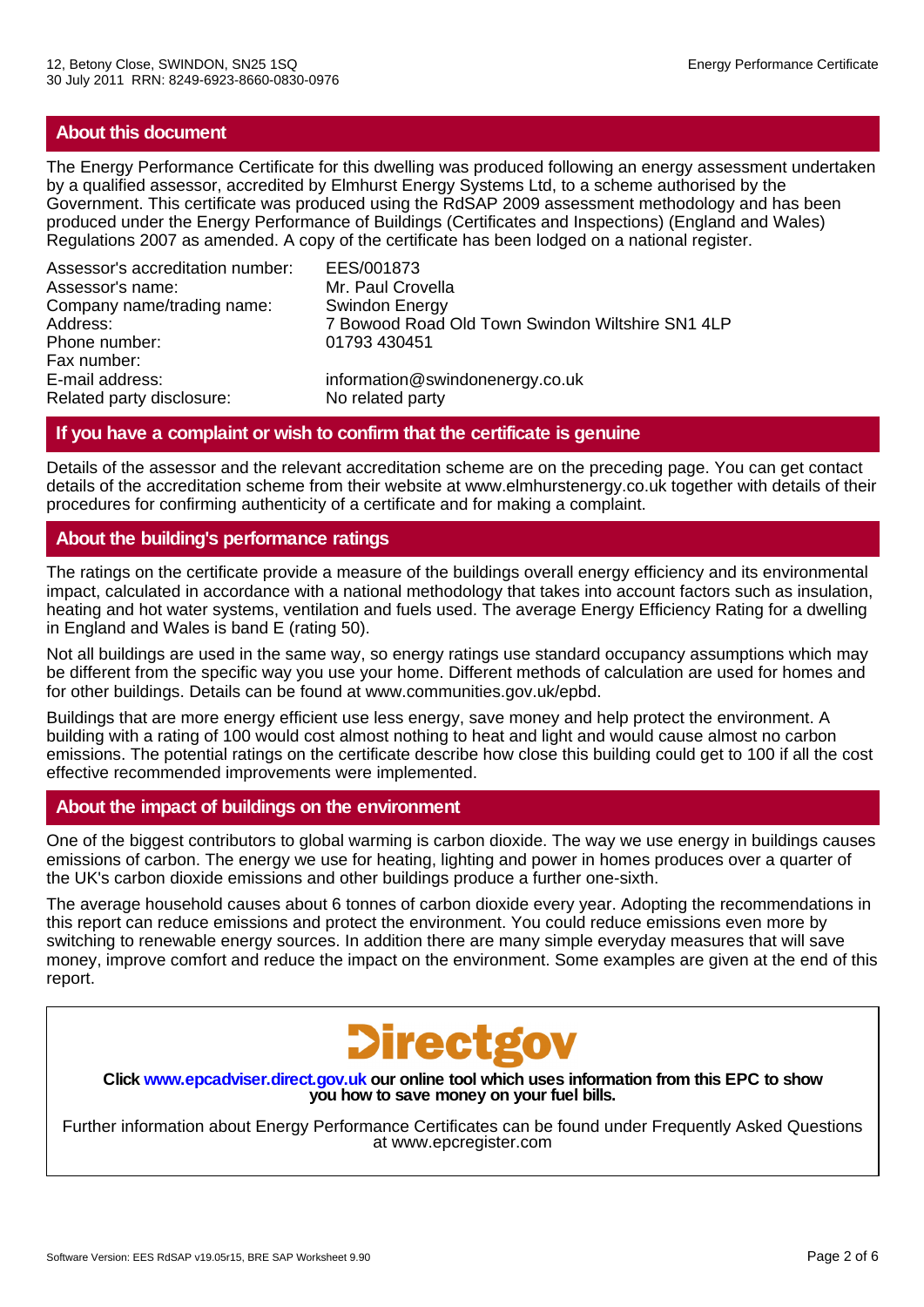## **About this document**

The Energy Performance Certificate for this dwelling was produced following an energy assessment undertaken by a qualified assessor, accredited by Elmhurst Energy Systems Ltd, to a scheme authorised by the Government. This certificate was produced using the RdSAP 2009 assessment methodology and has been produced under the Energy Performance of Buildings (Certificates and Inspections) (England and Wales) Regulations 2007 as amended. A copy of the certificate has been lodged on a national register.

Assessor's accreditation number: EES/001873 Assessor's name: Mr. Paul Crovella<br>Company name/trading name: Swindon Energy Company name/trading name:<br>Address: Phone number: 01793 430451 Fax number: E-mail address:<br>
Related party disclosure:<br>
No related party<br>
No related party Related party disclosure:

7 Bowood Road Old Town Swindon Wiltshire SN1 4LP

## **If you have a complaint or wish to confirm that the certificate is genuine**

Details of the assessor and the relevant accreditation scheme are on the preceding page. You can get contact details of the accreditation scheme from their website at www.elmhurstenergy.co.uk together with details of their procedures for confirming authenticity of a certificate and for making a complaint.

## **About the building's performance ratings**

The ratings on the certificate provide a measure of the buildings overall energy efficiency and its environmental impact, calculated in accordance with a national methodology that takes into account factors such as insulation, heating and hot water systems, ventilation and fuels used. The average Energy Efficiency Rating for a dwelling in England and Wales is band E (rating 50).

Not all buildings are used in the same way, so energy ratings use standard occupancy assumptions which may be different from the specific way you use your home. Different methods of calculation are used for homes and for other buildings. Details can be found at www.communities.gov.uk/epbd.

Buildings that are more energy efficient use less energy, save money and help protect the environment. A building with a rating of 100 would cost almost nothing to heat and light and would cause almost no carbon emissions. The potential ratings on the certificate describe how close this building could get to 100 if all the cost effective recommended improvements were implemented.

## **About the impact of buildings on the environment**

One of the biggest contributors to global warming is carbon dioxide. The way we use energy in buildings causes emissions of carbon. The energy we use for heating, lighting and power in homes produces over a quarter of the UK's carbon dioxide emissions and other buildings produce a further one-sixth.

The average household causes about 6 tonnes of carbon dioxide every year. Adopting the recommendations in this report can reduce emissions and protect the environment. You could reduce emissions even more by switching to renewable energy sources. In addition there are many simple everyday measures that will save money, improve comfort and reduce the impact on the environment. Some examples are given at the end of this report.



**Click www.epcadviser.direct.gov.uk our online tool which uses information from this EPC to show you how to save money on your fuel bills.**

Further information about Energy Performance Certificates can be found under Frequently Asked Questions at www.epcregister.com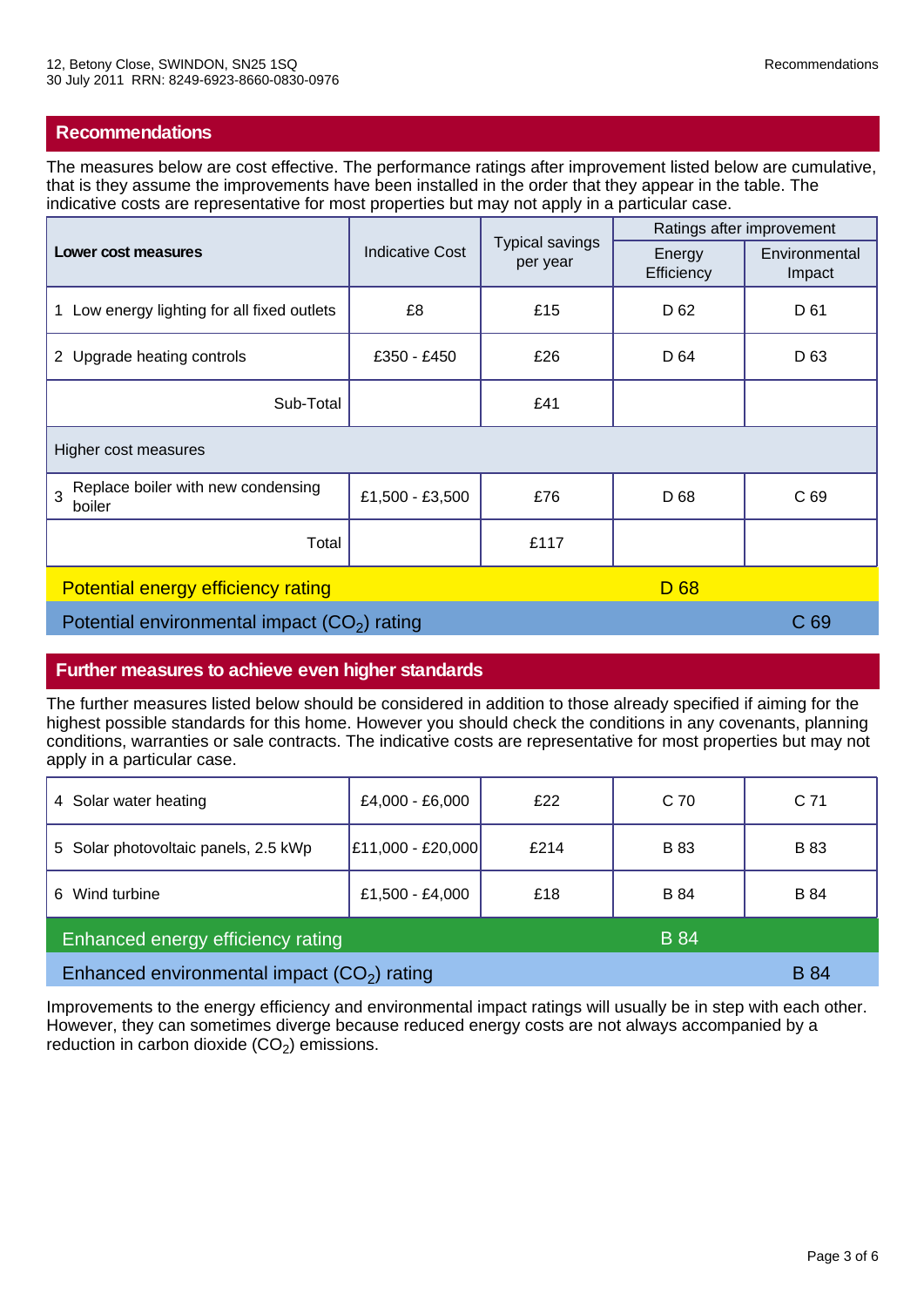The measures below are cost effective. The performance ratings after improvement listed below are cumulative, that is they assume the improvements have been installed in the order that they appear in the table. The indicative costs are representative for most properties but may not apply in a particular case.

| Lower cost measures                                            | <b>Typical savings</b><br><b>Indicative Cost</b><br>per year | Ratings after improvement |                      |                         |
|----------------------------------------------------------------|--------------------------------------------------------------|---------------------------|----------------------|-------------------------|
|                                                                |                                                              |                           | Energy<br>Efficiency | Environmental<br>Impact |
| 1 Low energy lighting for all fixed outlets                    | £8                                                           | £15                       | D 62                 | D 61                    |
| 2 Upgrade heating controls                                     | £350 - £450                                                  | £26                       | D 64                 | D <sub>63</sub>         |
| Sub-Total                                                      |                                                              | £41                       |                      |                         |
| Higher cost measures                                           |                                                              |                           |                      |                         |
| Replace boiler with new condensing<br>$\overline{3}$<br>boiler | £1,500 - £3,500                                              | £76                       | D 68                 | C <sub>69</sub>         |
| Total                                                          |                                                              | £117                      |                      |                         |
| D <sub>68</sub><br><b>Potential energy efficiency rating</b>   |                                                              |                           |                      |                         |
| Potential environmental impact $(CO2)$ rating                  |                                                              |                           |                      | C <sub>69</sub>         |

## **Further measures to achieve even higher standards**

The further measures listed below should be considered in addition to those already specified if aiming for the highest possible standards for this home. However you should check the conditions in any covenants, planning conditions, warranties or sale contracts. The indicative costs are representative for most properties but may not apply in a particular case.

| 4 Solar water heating                            | £4,000 - £6,000   | £22  | C <sub>70</sub> | C <sub>71</sub> |
|--------------------------------------------------|-------------------|------|-----------------|-----------------|
| 5 Solar photovoltaic panels, 2.5 kWp             | £11,000 - £20,000 | £214 | <b>B</b> 83     | <b>B</b> 83     |
| Wind turbine<br>6.                               | £1,500 - £4,000   | £18  | <b>B</b> 84     | <b>B</b> 84     |
| Enhanced energy efficiency rating<br><b>B</b> 84 |                   |      |                 |                 |
| Enhanced environmental impact $(CO2)$ rating     |                   |      |                 | <b>B</b> 84     |

Improvements to the energy efficiency and environmental impact ratings will usually be in step with each other. However, they can sometimes diverge because reduced energy costs are not always accompanied by a reduction in carbon dioxide  $(CO<sub>2</sub>)$  emissions.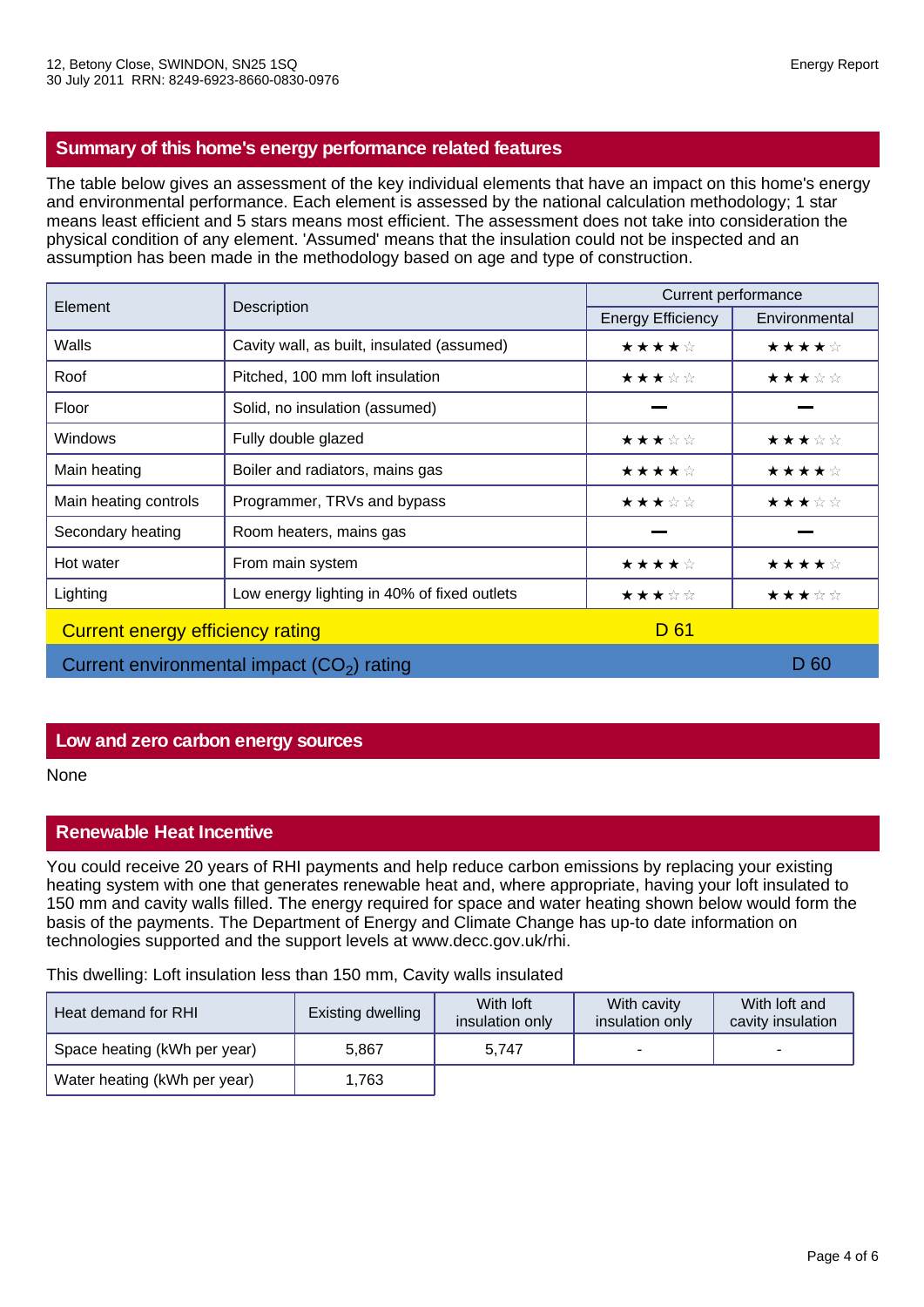## **Summary of this home's energy performance related features**

The table below gives an assessment of the key individual elements that have an impact on this home's energy and environmental performance. Each element is assessed by the national calculation methodology; 1 star means least efficient and 5 stars means most efficient. The assessment does not take into consideration the physical condition of any element. 'Assumed' means that the insulation could not be inspected and an assumption has been made in the methodology based on age and type of construction.

| Element                                     | Description                                 | Current performance      |               |  |
|---------------------------------------------|---------------------------------------------|--------------------------|---------------|--|
|                                             |                                             | <b>Energy Efficiency</b> | Environmental |  |
| Walls                                       | Cavity wall, as built, insulated (assumed)  | ★★★★☆                    | ★★★★☆         |  |
| Roof                                        | Pitched, 100 mm loft insulation             | ★★★☆☆                    | ★★★☆☆         |  |
| Floor                                       | Solid, no insulation (assumed)              |                          |               |  |
| <b>Windows</b>                              | Fully double glazed                         | ★★★☆☆                    | ★★★☆☆         |  |
| Main heating                                | Boiler and radiators, mains gas             | ★★★★☆                    | ★★★★☆         |  |
| Main heating controls                       | Programmer, TRVs and bypass                 | ★★★☆☆                    | ★★★☆☆         |  |
| Secondary heating                           | Room heaters, mains gas                     |                          |               |  |
| Hot water                                   | From main system                            | ★★★★☆                    | ★★★★☆         |  |
| Lighting                                    | Low energy lighting in 40% of fixed outlets | ★★★☆☆                    | ★★★☆☆         |  |
| <b>Current energy efficiency rating</b>     |                                             | D 61                     |               |  |
| Current environmental impact $(CO2)$ rating |                                             | D 60                     |               |  |

## **Low and zero carbon energy sources**

None

## **Renewable Heat Incentive**

You could receive 20 years of RHI payments and help reduce carbon emissions by replacing your existing heating system with one that generates renewable heat and, where appropriate, having your loft insulated to 150 mm and cavity walls filled. The energy required for space and water heating shown below would form the basis of the payments. The Department of Energy and Climate Change has up-to date information on technologies supported and the support levels at www.decc.gov.uk/rhi.

This dwelling: Loft insulation less than 150 mm, Cavity walls insulated

| Heat demand for RHI          | Existing dwelling | With loft<br>insulation only | With cavity<br>insulation only | With loft and<br>cavity insulation |
|------------------------------|-------------------|------------------------------|--------------------------------|------------------------------------|
| Space heating (kWh per year) | 5.867             | 5.747                        |                                | -                                  |
| Water heating (kWh per year) | 1,763             |                              |                                |                                    |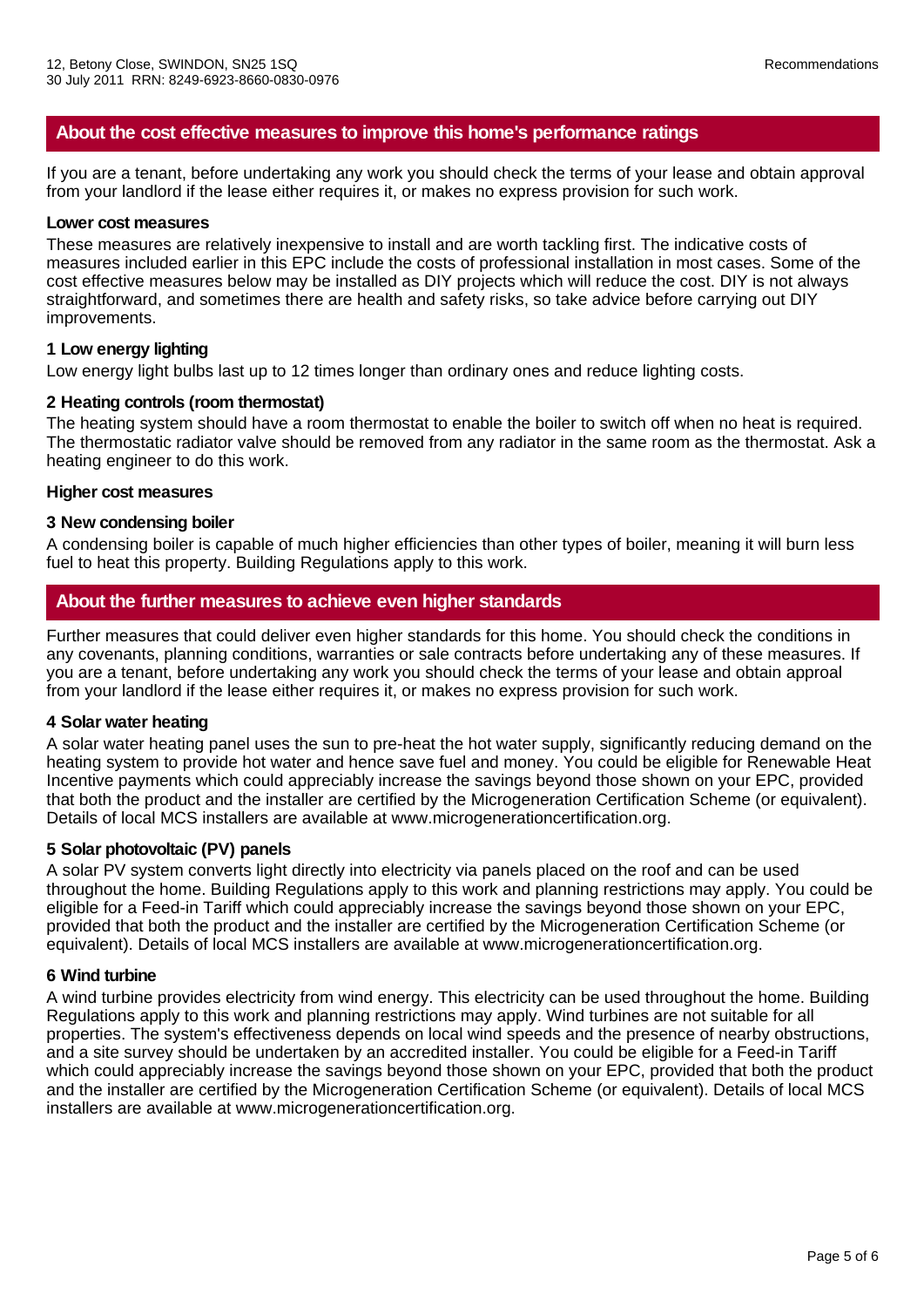## **About the cost effective measures to improve this home's performance ratings**

If you are a tenant, before undertaking any work you should check the terms of your lease and obtain approval from your landlord if the lease either requires it, or makes no express provision for such work.

#### **Lower cost measures**

These measures are relatively inexpensive to install and are worth tackling first. The indicative costs of measures included earlier in this EPC include the costs of professional installation in most cases. Some of the cost effective measures below may be installed as DIY projects which will reduce the cost. DIY is not always straightforward, and sometimes there are health and safety risks, so take advice before carrying out DIY improvements.

#### **1 Low energy lighting**

Low energy light bulbs last up to 12 times longer than ordinary ones and reduce lighting costs.

#### **2 Heating controls (room thermostat)**

The heating system should have a room thermostat to enable the boiler to switch off when no heat is required. The thermostatic radiator valve should be removed from any radiator in the same room as the thermostat. Ask a heating engineer to do this work.

#### **Higher cost measures**

#### **3 New condensing boiler**

A condensing boiler is capable of much higher efficiencies than other types of boiler, meaning it will burn less fuel to heat this property. Building Regulations apply to this work.

## **About the further measures to achieve even higher standards**

Further measures that could deliver even higher standards for this home. You should check the conditions in any covenants, planning conditions, warranties or sale contracts before undertaking any of these measures. If you are a tenant, before undertaking any work you should check the terms of your lease and obtain approal from your landlord if the lease either requires it, or makes no express provision for such work.

#### **4 Solar water heating**

A solar water heating panel uses the sun to pre-heat the hot water supply, significantly reducing demand on the heating system to provide hot water and hence save fuel and money. You could be eligible for Renewable Heat Incentive payments which could appreciably increase the savings beyond those shown on your EPC, provided that both the product and the installer are certified by the Microgeneration Certification Scheme (or equivalent). Details of local MCS installers are available at www.microgenerationcertification.org.

### **5 Solar photovoltaic (PV) panels**

A solar PV system converts light directly into electricity via panels placed on the roof and can be used throughout the home. Building Regulations apply to this work and planning restrictions may apply. You could be eligible for a Feed-in Tariff which could appreciably increase the savings beyond those shown on your EPC, provided that both the product and the installer are certified by the Microgeneration Certification Scheme (or equivalent). Details of local MCS installers are available at www.microgenerationcertification.org.

#### **6 Wind turbine**

A wind turbine provides electricity from wind energy. This electricity can be used throughout the home. Building Regulations apply to this work and planning restrictions may apply. Wind turbines are not suitable for all properties. The system's effectiveness depends on local wind speeds and the presence of nearby obstructions, and a site survey should be undertaken by an accredited installer. You could be eligible for a Feed-in Tariff which could appreciably increase the savings beyond those shown on your EPC, provided that both the product and the installer are certified by the Microgeneration Certification Scheme (or equivalent). Details of local MCS installers are available at www.microgenerationcertification.org.